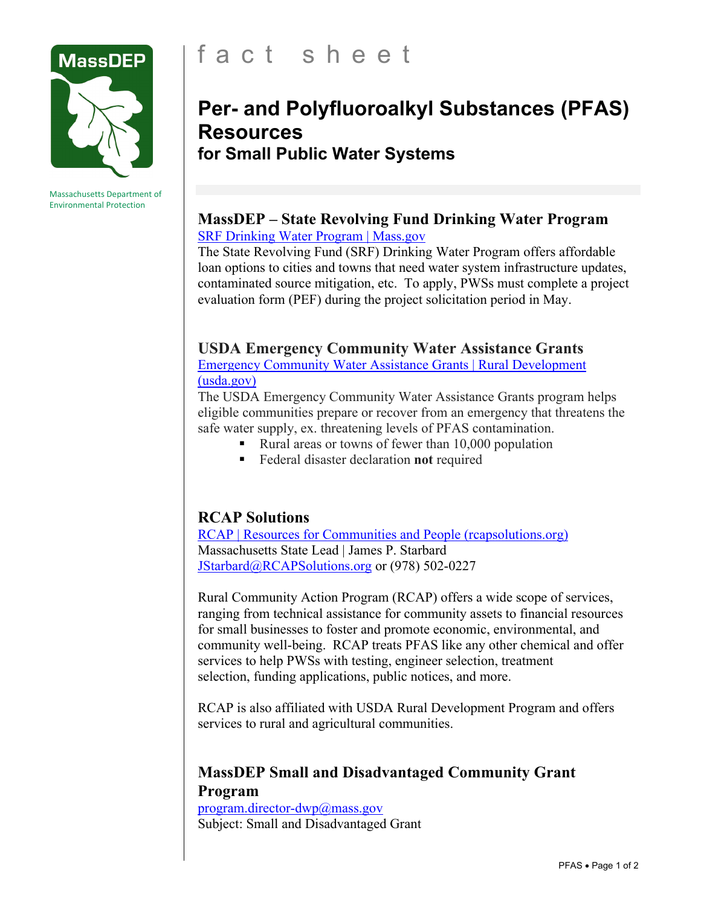

Massachusetts Department of Environmental Protection

# fact sheet

### **Per- and Polyfluoroalkyl Substances (PFAS) Resources for Small Public Water Systems**

## **MassDEP – State Revolving Fund Drinking Water Program**

[SRF Drinking Water Program | Mass.gov](https://www.mass.gov/service-details/srf-drinking-water-program)

The State Revolving Fund (SRF) Drinking Water Program offers affordable loan options to cities and towns that need water system infrastructure updates, contaminated source mitigation, etc. To apply, PWSs must complete a project evaluation form (PEF) during the project solicitation period in May.

#### **USDA Emergency Community Water Assistance Grants**

[Emergency Community Water Assistance Grants | Rural Development](https://www.rd.usda.gov/programs-services/emergency-community-water-assistance-grants)  [\(usda.gov\)](https://www.rd.usda.gov/programs-services/emergency-community-water-assistance-grants)

The USDA Emergency Community Water Assistance Grants program helps eligible communities prepare or recover from an emergency that threatens the safe water supply, ex. threatening levels of PFAS contamination.

- Rural areas or towns of fewer than  $10,000$  population
- Federal disaster declaration **not** required

#### **RCAP Solutions**

[RCAP | Resources for Communities and People \(rcapsolutions.org\)](https://www.rcapsolutions.org/) Massachusetts State Lead | James P. Starbard [JStarbard@RCAPSolutions.org](mailto:JStarbard@RCAPSolutions.org) or (978) 502-0227

Rural Community Action Program (RCAP) offers a wide scope of services, ranging from technical assistance for community assets to financial resources for small businesses to foster and promote economic, environmental, and community well-being. RCAP treats PFAS like any other chemical and offer services to help PWSs with testing, engineer selection, treatment selection, funding applications, public notices, and more.

RCAP is also affiliated with USDA Rural Development Program and offers services to rural and agricultural communities.

#### **MassDEP Small and Disadvantaged Community Grant Program**

[program.director-dwp@mass.gov](mailto:program.director-dwp@mass.gov) Subject: Small and Disadvantaged Grant